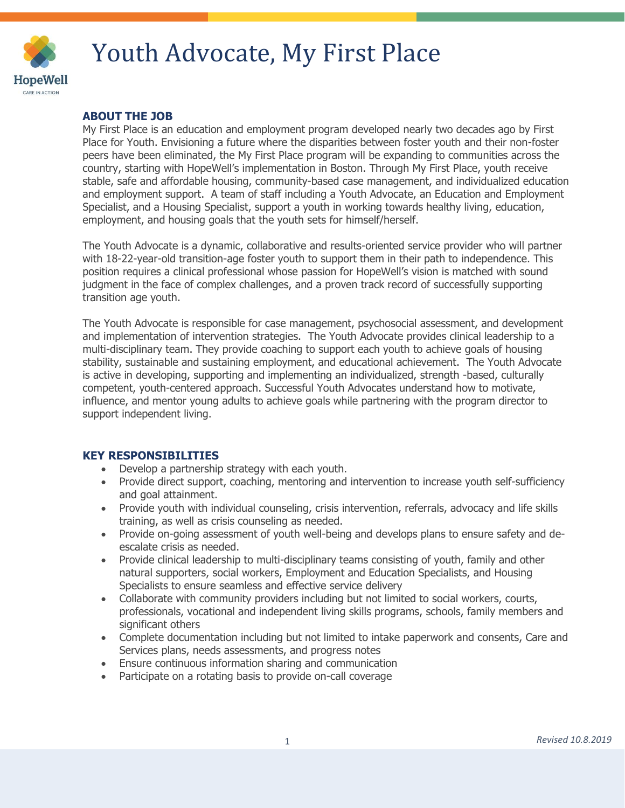

# Youth Advocate, My First Place

# **ABOUT THE JOB**

My First Place is an education and employment program developed nearly two decades ago by First Place for Youth. Envisioning a future where the disparities between foster youth and their non-foster peers have been eliminated, the My First Place program will be expanding to communities across the country, starting with HopeWell's implementation in Boston. Through My First Place, youth receive stable, safe and affordable housing, community-based case management, and individualized education and employment support. A team of staff including a Youth Advocate, an Education and Employment Specialist, and a Housing Specialist, support a youth in working towards healthy living, education, employment, and housing goals that the youth sets for himself/herself.

The Youth Advocate is a dynamic, collaborative and results-oriented service provider who will partner with 18-22-year-old transition-age foster youth to support them in their path to independence. This position requires a clinical professional whose passion for HopeWell's vision is matched with sound judgment in the face of complex challenges, and a proven track record of successfully supporting transition age youth.

The Youth Advocate is responsible for case management, psychosocial assessment, and development and implementation of intervention strategies. The Youth Advocate provides clinical leadership to a multi-disciplinary team. They provide coaching to support each youth to achieve goals of housing stability, sustainable and sustaining employment, and educational achievement. The Youth Advocate is active in developing, supporting and implementing an individualized, strength -based, culturally competent, youth-centered approach. Successful Youth Advocates understand how to motivate, influence, and mentor young adults to achieve goals while partnering with the program director to support independent living.

### **KEY RESPONSIBILITIES**

- Develop a partnership strategy with each youth.
- Provide direct support, coaching, mentoring and intervention to increase youth self-sufficiency and goal attainment.
- Provide youth with individual counseling, crisis intervention, referrals, advocacy and life skills training, as well as crisis counseling as needed.
- Provide on-going assessment of youth well-being and develops plans to ensure safety and deescalate crisis as needed.
- Provide clinical leadership to multi-disciplinary teams consisting of youth, family and other natural supporters, social workers, Employment and Education Specialists, and Housing Specialists to ensure seamless and effective service delivery
- Collaborate with community providers including but not limited to social workers, courts, professionals, vocational and independent living skills programs, schools, family members and significant others
- Complete documentation including but not limited to intake paperwork and consents, Care and Services plans, needs assessments, and progress notes
- Ensure continuous information sharing and communication
- Participate on a rotating basis to provide on-call coverage